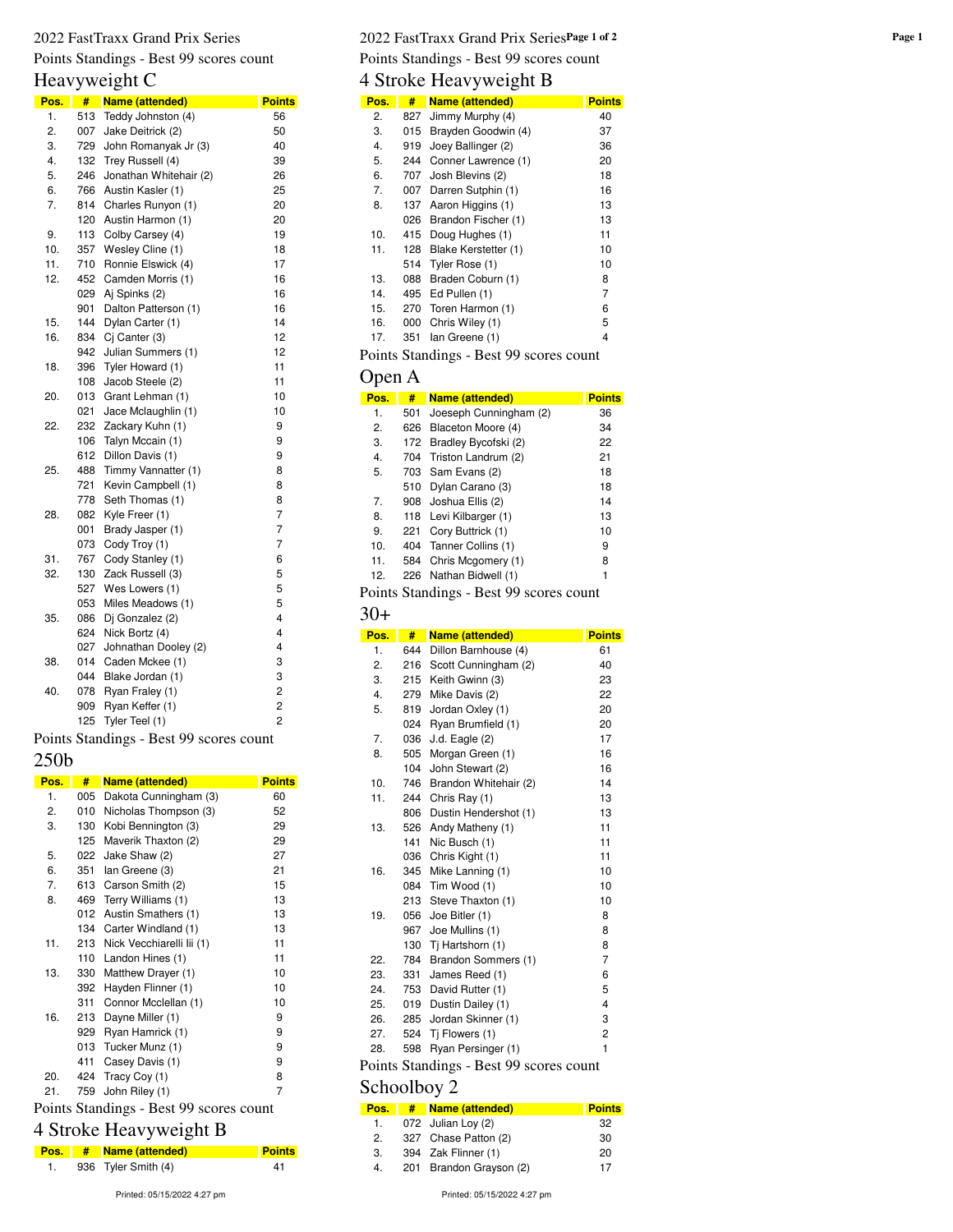# Points Standings - Best 99 scores count

# Heavyweight C

| Pos. | #   | Name (attended)        | <b>Points</b>  |
|------|-----|------------------------|----------------|
| 1.   | 513 | Teddy Johnston (4)     | 56             |
| 2.   | 007 | Jake Deitrick (2)      | 50             |
| 3.   | 729 | John Romanyak Jr (3)   | 40             |
| 4.   | 132 | Trey Russell (4)       | 39             |
| 5.   | 246 | Jonathan Whitehair (2) | 26             |
| 6.   | 766 | Austin Kasler (1)      | 25             |
| 7.   | 814 | Charles Runyon (1)     | 20             |
|      | 120 | Austin Harmon (1)      | 20             |
| 9.   | 113 | Colby Carsey (4)       | 19             |
| 10.  | 357 | Wesley Cline (1)       | 18             |
| 11.  | 710 | Ronnie Elswick (4)     | 17             |
| 12.  | 452 | Camden Morris (1)      | 16             |
|      | 029 | Aj Spinks (2)          | 16             |
|      | 901 | Dalton Patterson (1)   | 16             |
| 15.  | 144 | Dylan Carter (1)       | 14             |
| 16.  | 834 | Cj Canter (3)          | 12             |
|      | 942 | Julian Summers (1)     | 12             |
| 18.  | 396 | Tyler Howard (1)       | 11             |
|      | 108 | Jacob Steele (2)       | 11             |
| 20.  | 013 | Grant Lehman (1)       | 10             |
|      | 021 | Jace Mclaughlin (1)    | 10             |
| 22.  | 232 | Zackary Kuhn (1)       | 9              |
|      | 106 | Talyn Mccain (1)       | 9              |
|      | 612 | Dillon Davis (1)       | 9              |
| 25.  | 488 | Timmy Vannatter (1)    | 8              |
|      | 721 | Kevin Campbell (1)     | 8              |
|      | 778 | Seth Thomas (1)        | 8              |
| 28.  | 082 | Kyle Freer (1)         | 7              |
|      | 001 | Brady Jasper (1)       | 7              |
|      | 073 | Cody Troy (1)          | 7              |
| 31.  | 767 | Cody Stanley (1)       | 6              |
| 32.  | 130 | Zack Russell (3)       | 5              |
|      | 527 | Wes Lowers (1)         | 5              |
|      | 053 | Miles Meadows (1)      | 5              |
| 35.  | 086 | Dj Gonzalez (2)        | 4              |
|      | 624 | Nick Bortz (4)         | 4              |
|      | 027 | Johnathan Dooley (2)   | 4              |
| 38.  | 014 | Caden Mckee (1)        | 3              |
|      | 044 | Blake Jordan (1)       | 3              |
| 40.  | 078 | Ryan Fraley (1)        | 2              |
|      | 909 | Ryan Keffer (1)        | $\overline{c}$ |
|      | 125 | Tyler Teel (1)         | $\overline{c}$ |

Points Standings - Best 99 scores count

#### 250b

| Pos. | #   | Name (attended)                                                                    | <b>Points</b> |
|------|-----|------------------------------------------------------------------------------------|---------------|
| 1.   | 005 | Dakota Cunningham (3)                                                              | 60            |
| 2.   | 010 | Nicholas Thompson (3)                                                              | 52            |
| 3.   | 130 | Kobi Bennington (3)                                                                | 29            |
|      | 125 | Maverik Thaxton (2)                                                                | 29            |
| 5.   | 022 | Jake Shaw (2)                                                                      | 27            |
| 6.   | 351 | lan Greene (3)                                                                     | 21            |
| 7.   | 613 | Carson Smith (2)                                                                   | 15            |
| 8.   | 469 | Terry Williams (1)                                                                 | 13            |
|      | 012 | Austin Smathers (1)                                                                | 13            |
|      | 134 | Carter Windland (1)                                                                | 13            |
| 11.  | 213 | Nick Vecchiarelli lii (1)                                                          | 11            |
|      | 110 | Landon Hines (1)                                                                   | 11            |
| 13.  | 330 | Matthew Drayer (1)                                                                 | 10            |
|      | 392 | Hayden Flinner (1)                                                                 | 10            |
|      | 311 | Connor Mcclellan (1)                                                               | 10            |
| 16.  | 213 | Dayne Miller (1)                                                                   | 9             |
|      | 929 | Ryan Hamrick (1)                                                                   | 9             |
|      | 013 | Tucker Munz (1)                                                                    | 9             |
|      | 411 | Casey Davis (1)                                                                    | 9             |
| 20.  | 424 | Tracy Coy (1)                                                                      | 8             |
| 21.  | 759 | John Riley (1)                                                                     | 7             |
|      |     | $D_{\text{other}}$ $C_{\text{total}}$ $\mu_{\text{max}}$ $D_{\text{out}}$ $00$ and |               |

#### Points Standings - Best 99 scores count 4 Stroke Heavyweight B

| 4 Stroke Heavyweight B |  |  |
|------------------------|--|--|
|------------------------|--|--|

| Pos. | # Name (attended)           | <b>Points</b> |
|------|-----------------------------|---------------|
| 1.   | 936 Tyler Smith (4)         | 41            |
|      | Printed: 05/15/2022 4:27 pm |               |

#### 2022 FastTraxx Grand Prix Series **Page 1 of 2** 2022 FastTraxx Grand Prix Series **Page 1 of 2** Points Standings - Best 99 scores count

# 4 Stroke Heavyweight B

| Pos. | #   | <b>Name (attended)</b>                  | <b>Points</b> |
|------|-----|-----------------------------------------|---------------|
| 2.   | 827 | Jimmy Murphy (4)                        | 40            |
| 3.   | 015 | Brayden Goodwin (4)                     | 37            |
| 4.   | 919 | Joey Ballinger (2)                      | 36            |
| 5.   | 244 | Conner Lawrence (1)                     | 20            |
| 6.   | 707 | Josh Blevins (2)                        | 18            |
| 7.   | 007 | Darren Sutphin (1)                      | 16            |
| 8.   | 137 | Aaron Higgins (1)                       | 13            |
|      | 026 | Brandon Fischer (1)                     | 13            |
| 10.  | 415 | Doug Hughes (1)                         | 11            |
| 11.  | 128 | Blake Kerstetter (1)                    | 10            |
|      | 514 | Tyler Rose (1)                          | 10            |
| 13.  | 088 | Braden Coburn (1)                       | 8             |
| 14.  | 495 | Ed Pullen (1)                           | 7             |
| 15.  | 270 | Toren Harmon (1)                        | 6             |
| 16.  | 000 | Chris Wiley (1)                         | 5             |
| 17.  | 351 | lan Greene (1)                          | 4             |
|      |     | Points Standings - Best 99 scores count |               |

### Open A

| Pos. | #   | <b>Name (attended)</b>   | <b>Points</b> |
|------|-----|--------------------------|---------------|
| 1.   | 501 | Joeseph Cunningham (2)   | 36            |
| 2.   | 626 | Blaceton Moore (4)       | 34            |
| 3.   |     | 172 Bradley Bycofski (2) | 22            |
| 4.   | 704 | Triston Landrum (2)      | 21            |
| 5.   |     | 703 Sam Evans (2)        | 18            |
|      | 510 | Dylan Carano (3)         | 18            |
| 7.   |     | 908 Joshua Ellis (2)     | 14            |
| 8.   |     | 118 Levi Kilbarger (1)   | 13            |
| 9.   | 221 | Cory Buttrick (1)        | 10            |
| 10.  | 404 | Tanner Collins (1)       | 9             |
| 11.  | 584 | Chris Mcgomery (1)       | 8             |
| 12.  | 226 | Nathan Bidwell (1)       | 1             |
|      |     |                          |               |

Points Standings - Best 99 scores count

#### 30+

| Pos. | #   | Name (attended)                         | <b>Points</b>  |
|------|-----|-----------------------------------------|----------------|
| 1.   | 644 | Dillon Barnhouse (4)                    | 61             |
| 2.   | 216 | Scott Cunningham (2)                    | 40             |
| 3.   | 215 | Keith Gwinn (3)                         | 23             |
| 4.   | 279 | Mike Davis (2)                          | 22             |
| 5.   | 819 | Jordan Oxley (1)                        | 20             |
|      | 024 | Ryan Brumfield (1)                      | 20             |
| 7.   | 036 | $J.d.$ Eagle $(2)$                      | 17             |
| 8.   | 505 | Morgan Green (1)                        | 16             |
|      | 104 | John Stewart (2)                        | 16             |
| 10.  | 746 | Brandon Whitehair (2)                   | 14             |
| 11.  | 244 | Chris Ray (1)                           | 13             |
|      | 806 | Dustin Hendershot (1)                   | 13             |
| 13.  |     | 526 Andy Matheny (1)                    | 11             |
|      | 141 | Nic Busch (1)                           | 11             |
|      | 036 | Chris Kight (1)                         | 11             |
| 16.  |     | 345 Mike Lanning (1)                    | 10             |
|      | 084 | Tim Wood (1)                            | 10             |
|      |     | 213 Steve Thaxton (1)                   | 10             |
| 19.  | 056 | Joe Bitler (1)                          | 8              |
|      |     | 967 Joe Mullins (1)                     | 8              |
|      | 130 | Tj Hartshorn (1)                        | 8              |
| 22.  | 784 | Brandon Sommers (1)                     | $\overline{7}$ |
| 23.  | 331 | James Reed (1)                          | 6              |
| 24.  | 753 | David Rutter (1)                        | 5              |
| 25.  |     | 019 Dustin Dailey (1)                   | 4              |
| 26.  |     | 285 Jordan Skinner (1)                  | 3              |
| 27.  |     | 524 Ti Flowers (1)                      | 2              |
| 28.  | 598 | Ryan Persinger (1)                      | 1              |
|      |     | Points Standings - Best 99 scores count |                |

#### Schoolboy 2

| Pos. | # | Name (attended)         | <b>Points</b> |
|------|---|-------------------------|---------------|
| 1.   |   | 072 Julian Loy (2)      | 32            |
| 2.   |   | 327 Chase Patton (2)    | 30            |
| 3.   |   | 394 Zak Flinner (1)     | 20            |
| 4.   |   | 201 Brandon Grayson (2) | 17            |